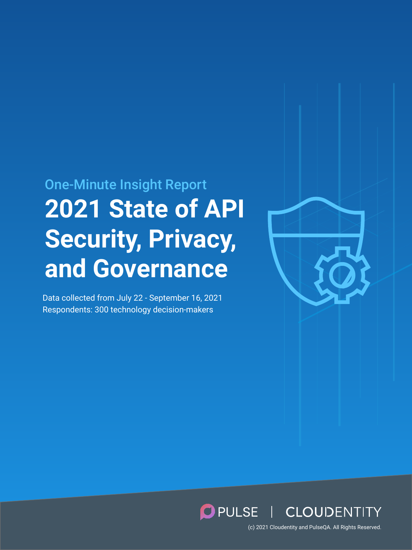# **2021 State of API Security, Privacy, and Governance** One-Minute Insight Report

Data collected from July 22 - September 16, 2021 Respondents: 300 technology decision-makers



# PULSE | CLOUDENTITY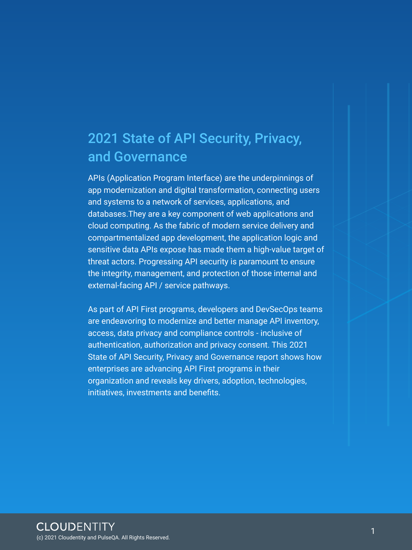APIs (Application Program Interface) are the underpinnings of app modernization and digital transformation, connecting users and systems to a network of services, applications, and databases.They are a key component of web applications and cloud computing. As the fabric of modern service delivery and compartmentalized app development, the application logic and sensitive data APIs expose has made them a high-value target of threat actors. Progressing API security is paramount to ensure the integrity, management, and protection of those internal and external-facing API / service pathways.

As part of API First programs, developers and DevSecOps teams are endeavoring to modernize and better manage API inventory, access, data privacy and compliance controls - inclusive of authentication, authorization and privacy consent. This 2021 State of API Security, Privacy and Governance report shows how enterprises are advancing API First programs in their organization and reveals key drivers, adoption, technologies, initiatives, investments and benefits.

# 2021 State of API Security, Privacy, and Governance

(c) 2021 Cloudentity and PulseQA. All Rights Reserved.

1

#### **CLOUDENTITY**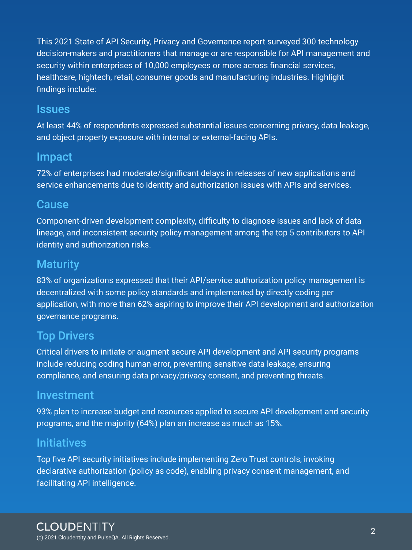This 2021 State of API Security, Privacy and Governance report surveyed 300 technology decision-makers and practitioners that manage or are responsible for API management and security within enterprises of 10,000 employees or more across financial services, healthcare, hightech, retail, consumer goods and manufacturing industries. Highlight findings include:

#### Issues

At least 44% of respondents expressed substantial issues concerning privacy, data leakage, and object property exposure with internal or external-facing APIs.

#### Impact

72% of enterprises had moderate/significant delays in releases of new applications and service enhancements due to identity and authorization issues with APIs and services.

#### Cause

Component-driven development complexity, difficulty to diagnose issues and lack of data lineage, and inconsistent security policy management among the top 5 contributors to API identity and authorization risks.

#### **Maturity**

83% of organizations expressed that their API/service authorization policy management is decentralized with some policy standards and implemented by directly coding per application, with more than 62% aspiring to improve their API development and authorization governance programs.

#### Top Drivers

Critical drivers to initiate or augment secure API development and API security programs include reducing coding human error, preventing sensitive data leakage, ensuring compliance, and ensuring data privacy/privacy consent, and preventing threats.

#### Investment

93% plan to increase budget and resources applied to secure API development and security programs, and the majority (64%) plan an increase as much as 15%.

#### Initiatives

Top five API security initiatives include implementing Zero Trust controls, invoking declarative authorization (policy as code), enabling privacy consent management, and facilitating API intelligence.

#### **CLOUDENTITY**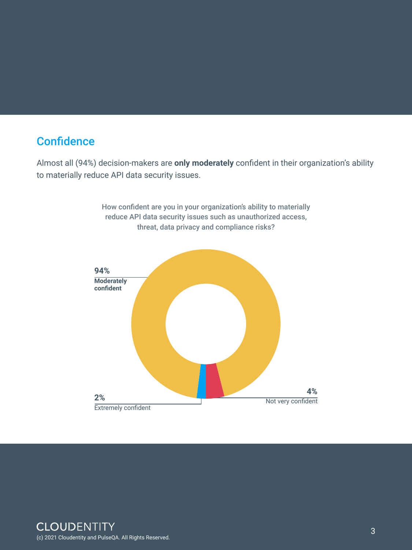### **Confidence**

Almost all (94%) decision-makers are **only moderately** confident in their organization's ability to materially reduce API data security issues.

> How confident are you in your organization's ability to materially reduce API data security issues such as unauthorized access, threat, data privacy and compliance risks?



#### **CLOUDENTITY**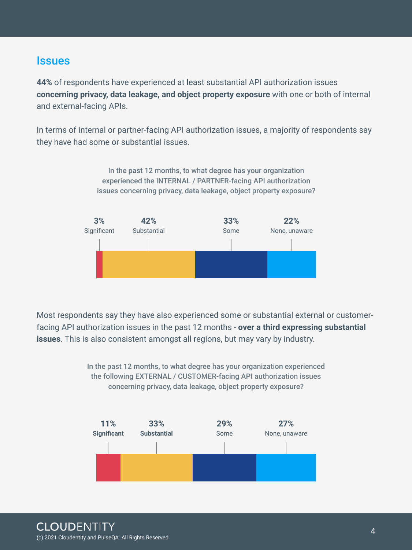Most respondents say they have also experienced some or substantial external or customerfacing API authorization issues in the past 12 months - **over a third expressing substantial issues**. This is also consistent amongst all regions, but may vary by industry.

> In the past 12 months, to what degree has your organization experienced the following EXTERNAL / CUSTOMER-facing API authorization issues concerning privacy, data leakage, object property exposure?



#### **CLOUDENTITY**

#### **Issues**

**44%** of respondents have experienced at least substantial API authorization issues **concerning privacy, data leakage, and object property exposure** with one or both of internal and external-facing APIs.

In terms of internal or partner-facing API authorization issues, a majority of respondents say they have had some or substantial issues.

> In the past 12 months, to what degree has your organization experienced the INTERNAL / PARTNER-facing API authorization issues concerning privacy, data leakage, object property exposure?



(c) 2021 Cloudentity and PulseQA. All Rights Reserved.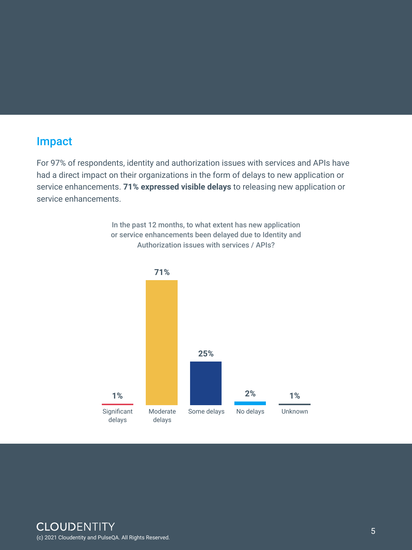### Impact

For 97% of respondents, identity and authorization issues with services and APIs have had a direct impact on their organizations in the form of delays to new application or service enhancements. **71% expressed visible delays** to releasing new application or service enhancements.

> In the past 12 months, to what extent has new application or service enhancements been delayed due to Identity and Authorization issues with services / APIs?

delays delays

#### **CLOUDENTITY**

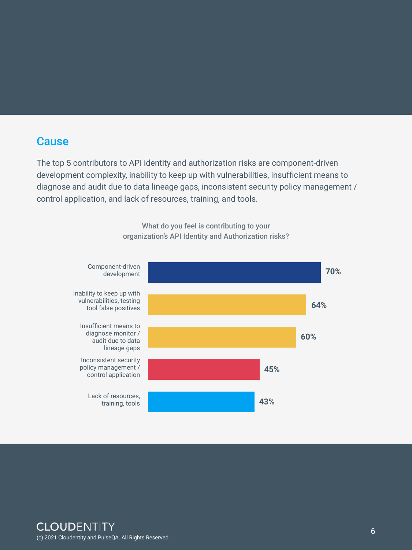#### **Cause**

The top 5 contributors to API identity and authorization risks are component-driven development complexity, inability to keep up with vulnerabilities, insufficient means to diagnose and audit due to data lineage gaps, inconsistent security policy management / control application, and lack of resources, training, and tools.

> What do you feel is contributing to your organization's API Identity and Authorization risks?

#### **CLOUDENTITY**



(c) 2021 Cloudentity and PulseQA. All Rights Reserved.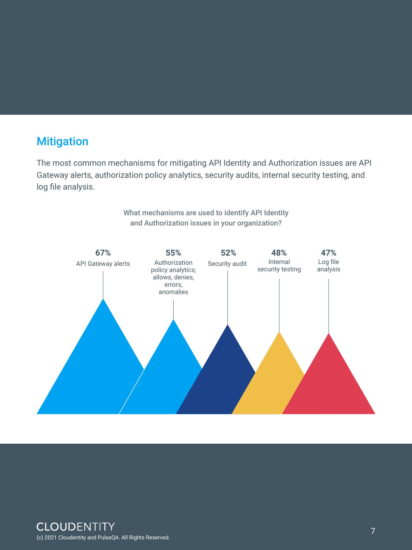# **Mitigation**

The most common mechanisms for mitigating API Identity and Authorization issues are API Gateway alerts, authorization policy analytics, security audits, internal security testing, and log file analysis.

> What mechanisms are used to identify API Identity and Authorization issues in your organization?

#### **CLOUDENTITY**



(c) 2021 Cloudentity and PulseQA. All Rights Reserved.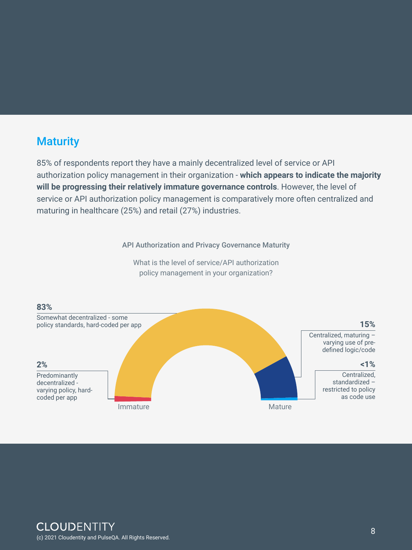# **Maturity**

85% of respondents report they have a mainly decentralized level of service or API authorization policy management in their organization - **which appears to indicate the majority will be progressing their relatively immature governance controls**. However, the level of service or API authorization policy management is comparatively more often centralized and maturing in healthcare (25%) and retail (27%) industries.

API Authorization and Privacy Governance Maturity



What is the level of service/API authorization policy management in your organization?

(c) 2021 Cloudentity and PulseQA. All Rights Reserved.

8

#### **CLOUDENTITY**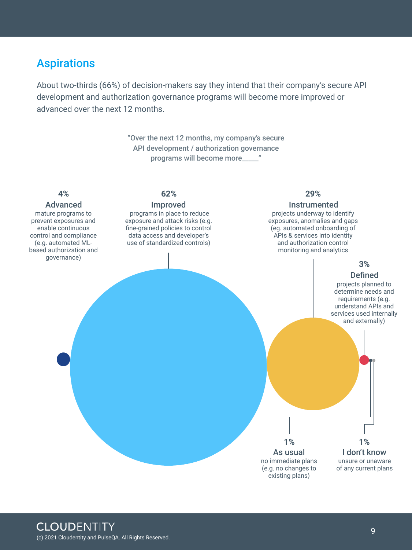#### Aspirations

About two-thirds (66%) of decision-makers say they intend that their company's secure API development and authorization governance programs will become more improved or advanced over the next 12 months.

> "Over the next 12 months, my company's secure API development / authorization governance programs will become more\_\_\_\_\_"

mature programs to prevent exposures and enable continuous control and compliance (e.g. automated MLbased authorization and governance)

#### **Defined 3%**

 programs in place to reduce exposure and attack risks (e.g. fine-grained policies to control data access and developer's use of standardized controls)

#### Advanced **Improved** Improved Instrumented

projects underway to identify exposures, anomalies and gaps (eg. automated onboarding of APIs & services into identity and authorization control monitoring and analytics

> projects planned to determine needs and requirements (e.g. understand APIs and services used internally and externally)



unsure or unaware of any current plans I don't know **1% 1%**

#### **CLOUDENTITY**

#### **4% 62% 29%**

(c) 2021 Cloudentity and PulseQA. All Rights Reserved.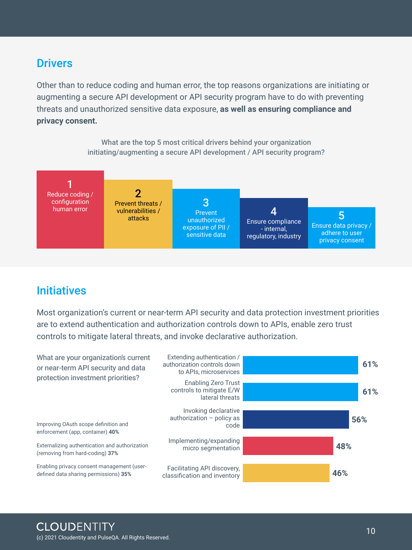### Initiatives

Most organization's current or near-term API security and data protection investment priorities are to extend authentication and authorization controls down to APIs, enable zero trust controls to mitigate lateral threats, and invoke declarative authorization.

#### **Drivers**

Other than to reduce coding and human error, the top reasons organizations are initiating or augmenting a secure API development or API security program have to do with preventing threats and unauthorized sensitive data exposure, **as well as ensuring compliance and privacy consent.**

> authorization  $-$  policy as code

What are the top 5 most critical drivers behind your organization initiating/augmenting a secure API development / API security program?





Implementing/expanding micro segmentation

Facilitating API discovery, classification and inventory

**56%**

**48%**

**46%**

**CLOUDENTITY** 

Externalizing authentication and authorization (removing from hard-coding) **37%**

Enabling privacy consent management (userdefined data sharing permissions) **35%**

Improving OAuth scope definition and enforcement (app, container) **40%**

(c) 2021 Cloudentity and PulseQA. All Rights Reserved.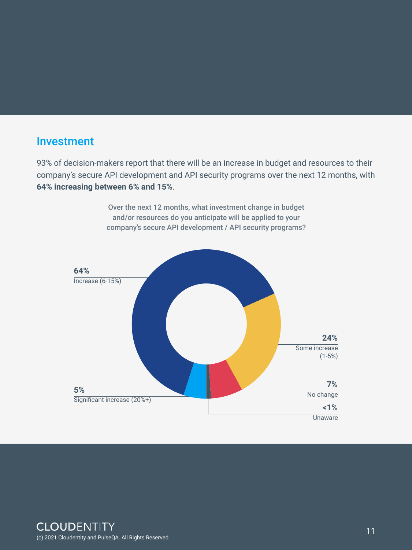#### Investment

93% of decision-makers report that there will be an increase in budget and resources to their company's secure API development and API security programs over the next 12 months, with **64% increasing between 6% and 15%**.

> Over the next 12 months, what investment change in budget and/or resources do you anticipate will be applied to your company's secure API development / API security programs?



#### Unaware

(c) 2021 Cloudentity and PulseQA. All Rights Reserved.

11

#### **CLOUDENTITY**